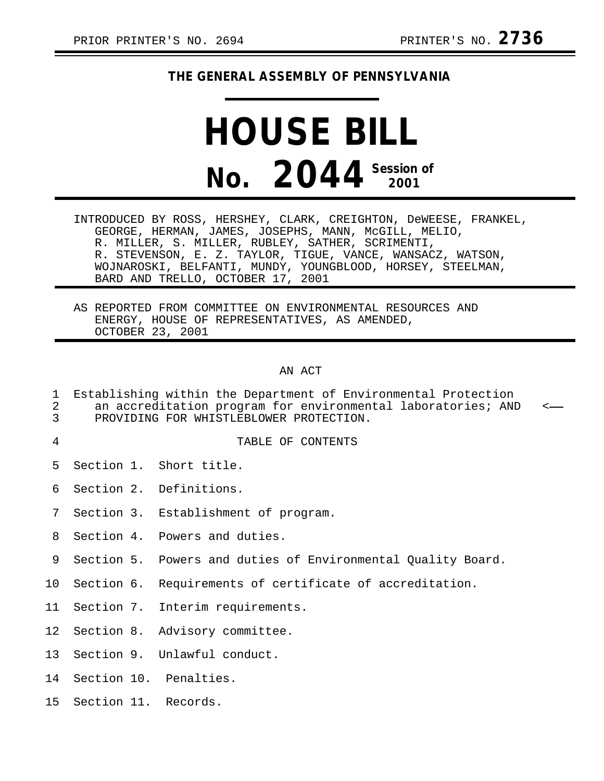## **THE GENERAL ASSEMBLY OF PENNSYLVANIA**

## **HOUSE BILL No. 2044 Session of 2001**

INTRODUCED BY ROSS, HERSHEY, CLARK, CREIGHTON, DeWEESE, FRANKEL, GEORGE, HERMAN, JAMES, JOSEPHS, MANN, McGILL, MELIO, R. MILLER, S. MILLER, RUBLEY, SATHER, SCRIMENTI, R. STEVENSON, E. Z. TAYLOR, TIGUE, VANCE, WANSACZ, WATSON, WOJNAROSKI, BELFANTI, MUNDY, YOUNGBLOOD, HORSEY, STEELMAN, BARD AND TRELLO, OCTOBER 17, 2001

AS REPORTED FROM COMMITTEE ON ENVIRONMENTAL RESOURCES AND ENERGY, HOUSE OF REPRESENTATIVES, AS AMENDED, OCTOBER 23, 2001

## AN ACT

- 1 Establishing within the Department of Environmental Protection<br>2 an accreditation program for environmental laboratories; ANI 2 an accreditation program for environmental laboratories; AND <-<br>3 PROVIDING FOR WHISTLEBLOWER PROTECTION.
- PROVIDING FOR WHISTLEBLOWER PROTECTION.
- 

## 4 TABLE OF CONTENTS

- 5 Section 1. Short title.
- 6 Section 2. Definitions.
- 7 Section 3. Establishment of program.
- 8 Section 4. Powers and duties.
- 9 Section 5. Powers and duties of Environmental Quality Board.
- 10 Section 6. Requirements of certificate of accreditation.
- 11 Section 7. Interim requirements.
- 12 Section 8. Advisory committee.
- 13 Section 9. Unlawful conduct.
- 14 Section 10. Penalties.
- 15 Section 11. Records.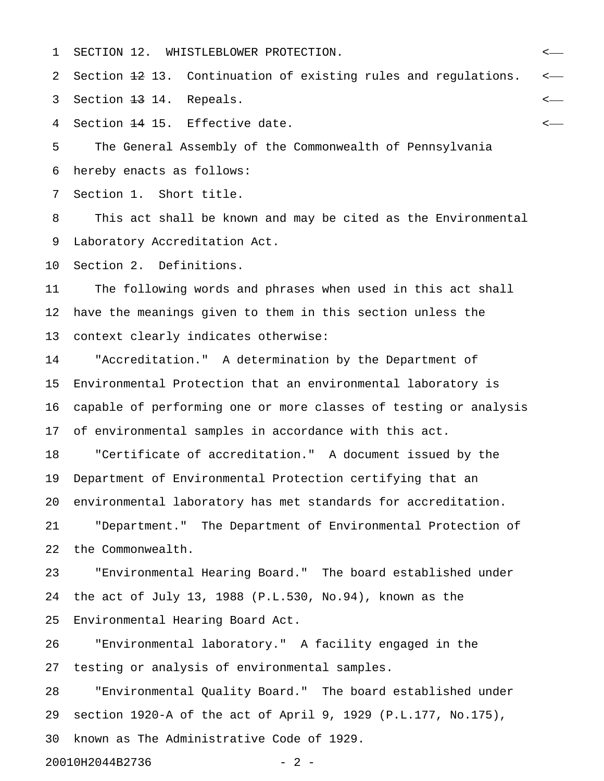1 SECTION 12. WHISTLEBLOWER PROTECTION. <

2 Section 12 13. Continuation of existing rules and regulations.  $\leftarrow$ 

3 Section <del>13</del> 14. Repeals.  $\leftarrow$ 

4 Section <del>14</del> 15. Effective date.

5 The General Assembly of the Commonwealth of Pennsylvania 6 hereby enacts as follows:

7 Section 1. Short title.

8 This act shall be known and may be cited as the Environmental 9 Laboratory Accreditation Act.

10 Section 2. Definitions.

11 The following words and phrases when used in this act shall 12 have the meanings given to them in this section unless the 13 context clearly indicates otherwise:

14 "Accreditation." A determination by the Department of 15 Environmental Protection that an environmental laboratory is 16 capable of performing one or more classes of testing or analysis 17 of environmental samples in accordance with this act.

18 "Certificate of accreditation." A document issued by the 19 Department of Environmental Protection certifying that an 20 environmental laboratory has met standards for accreditation. 21 "Department." The Department of Environmental Protection of 22 the Commonwealth.

23 "Environmental Hearing Board." The board established under 24 the act of July 13, 1988 (P.L.530, No.94), known as the 25 Environmental Hearing Board Act.

26 "Environmental laboratory." A facility engaged in the 27 testing or analysis of environmental samples.

28 "Environmental Quality Board." The board established under 29 section 1920-A of the act of April 9, 1929 (P.L.177, No.175), 30 known as The Administrative Code of 1929.

20010H2044B2736 - 2 -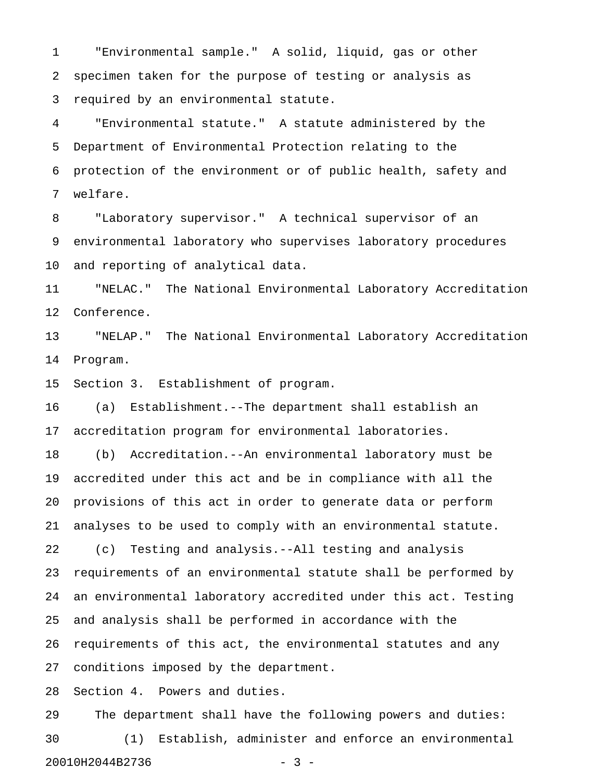1 "Environmental sample." A solid, liquid, gas or other 2 specimen taken for the purpose of testing or analysis as 3 required by an environmental statute.

4 "Environmental statute." A statute administered by the 5 Department of Environmental Protection relating to the 6 protection of the environment or of public health, safety and 7 welfare.

8 "Laboratory supervisor." A technical supervisor of an 9 environmental laboratory who supervises laboratory procedures 10 and reporting of analytical data.

11 "NELAC." The National Environmental Laboratory Accreditation 12 Conference.

13 "NELAP." The National Environmental Laboratory Accreditation 14 Program.

15 Section 3. Establishment of program.

16 (a) Establishment.--The department shall establish an 17 accreditation program for environmental laboratories.

18 (b) Accreditation.--An environmental laboratory must be 19 accredited under this act and be in compliance with all the 20 provisions of this act in order to generate data or perform 21 analyses to be used to comply with an environmental statute.

22 (c) Testing and analysis.--All testing and analysis 23 requirements of an environmental statute shall be performed by 24 an environmental laboratory accredited under this act. Testing 25 and analysis shall be performed in accordance with the 26 requirements of this act, the environmental statutes and any 27 conditions imposed by the department.

28 Section 4. Powers and duties.

29 The department shall have the following powers and duties: 30 (1) Establish, administer and enforce an environmental 20010H2044B2736 - 3 -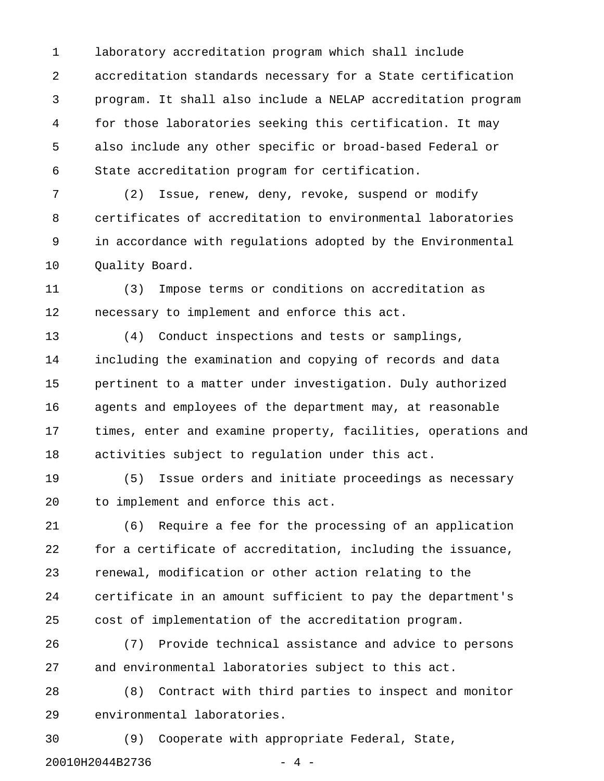1 laboratory accreditation program which shall include 2 accreditation standards necessary for a State certification 3 program. It shall also include a NELAP accreditation program 4 for those laboratories seeking this certification. It may 5 also include any other specific or broad-based Federal or 6 State accreditation program for certification.

7 (2) Issue, renew, deny, revoke, suspend or modify 8 certificates of accreditation to environmental laboratories 9 in accordance with regulations adopted by the Environmental 10 Quality Board.

11 (3) Impose terms or conditions on accreditation as 12 necessary to implement and enforce this act.

13 (4) Conduct inspections and tests or samplings, 14 including the examination and copying of records and data 15 pertinent to a matter under investigation. Duly authorized 16 agents and employees of the department may, at reasonable 17 times, enter and examine property, facilities, operations and 18 activities subject to regulation under this act.

19 (5) Issue orders and initiate proceedings as necessary 20 to implement and enforce this act.

21 (6) Require a fee for the processing of an application 22 for a certificate of accreditation, including the issuance, 23 renewal, modification or other action relating to the 24 certificate in an amount sufficient to pay the department's 25 cost of implementation of the accreditation program.

26 (7) Provide technical assistance and advice to persons 27 and environmental laboratories subject to this act.

28 (8) Contract with third parties to inspect and monitor 29 environmental laboratories.

30 (9) Cooperate with appropriate Federal, State, 20010H2044B2736 - 4 -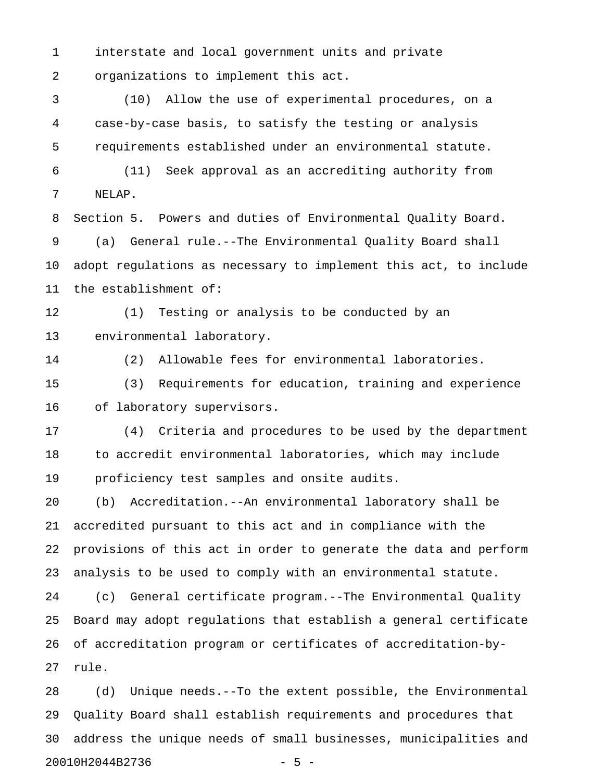1 interstate and local government units and private 2 organizations to implement this act.

3 (10) Allow the use of experimental procedures, on a 4 case-by-case basis, to satisfy the testing or analysis 5 requirements established under an environmental statute.

6 (11) Seek approval as an accrediting authority from 7 NELAP.

8 Section 5. Powers and duties of Environmental Quality Board. 9 (a) General rule.--The Environmental Quality Board shall 10 adopt regulations as necessary to implement this act, to include 11 the establishment of:

12 (1) Testing or analysis to be conducted by an 13 environmental laboratory.

14 (2) Allowable fees for environmental laboratories.

15 (3) Requirements for education, training and experience 16 of laboratory supervisors.

17 (4) Criteria and procedures to be used by the department 18 to accredit environmental laboratories, which may include 19 proficiency test samples and onsite audits.

20 (b) Accreditation.--An environmental laboratory shall be 21 accredited pursuant to this act and in compliance with the 22 provisions of this act in order to generate the data and perform 23 analysis to be used to comply with an environmental statute.

24 (c) General certificate program.--The Environmental Quality 25 Board may adopt regulations that establish a general certificate 26 of accreditation program or certificates of accreditation-by-27 rule.

28 (d) Unique needs.--To the extent possible, the Environmental 29 Quality Board shall establish requirements and procedures that 30 address the unique needs of small businesses, municipalities and 20010H2044B2736 - 5 -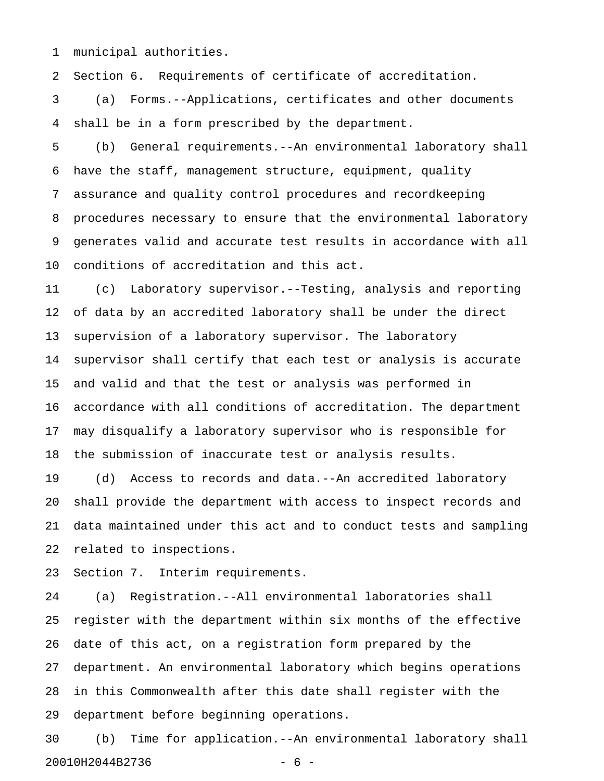1 municipal authorities.

2 Section 6. Requirements of certificate of accreditation.

3 (a) Forms.--Applications, certificates and other documents 4 shall be in a form prescribed by the department.

5 (b) General requirements.--An environmental laboratory shall 6 have the staff, management structure, equipment, quality 7 assurance and quality control procedures and recordkeeping 8 procedures necessary to ensure that the environmental laboratory 9 generates valid and accurate test results in accordance with all 10 conditions of accreditation and this act.

11 (c) Laboratory supervisor.--Testing, analysis and reporting 12 of data by an accredited laboratory shall be under the direct 13 supervision of a laboratory supervisor. The laboratory 14 supervisor shall certify that each test or analysis is accurate 15 and valid and that the test or analysis was performed in 16 accordance with all conditions of accreditation. The department 17 may disqualify a laboratory supervisor who is responsible for 18 the submission of inaccurate test or analysis results.

19 (d) Access to records and data.--An accredited laboratory 20 shall provide the department with access to inspect records and 21 data maintained under this act and to conduct tests and sampling 22 related to inspections.

23 Section 7. Interim requirements.

24 (a) Registration.--All environmental laboratories shall 25 register with the department within six months of the effective 26 date of this act, on a registration form prepared by the 27 department. An environmental laboratory which begins operations 28 in this Commonwealth after this date shall register with the 29 department before beginning operations.

30 (b) Time for application.--An environmental laboratory shall 20010H2044B2736 - 6 -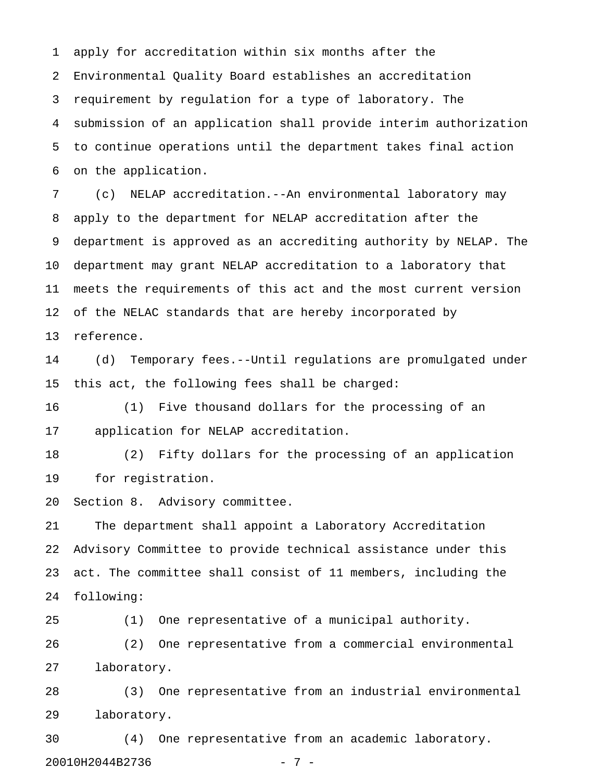1 apply for accreditation within six months after the 2 Environmental Quality Board establishes an accreditation 3 requirement by regulation for a type of laboratory. The 4 submission of an application shall provide interim authorization 5 to continue operations until the department takes final action 6 on the application.

7 (c) NELAP accreditation.--An environmental laboratory may 8 apply to the department for NELAP accreditation after the 9 department is approved as an accrediting authority by NELAP. The 10 department may grant NELAP accreditation to a laboratory that 11 meets the requirements of this act and the most current version 12 of the NELAC standards that are hereby incorporated by 13 reference.

14 (d) Temporary fees.--Until regulations are promulgated under 15 this act, the following fees shall be charged:

16 (1) Five thousand dollars for the processing of an 17 application for NELAP accreditation.

18 (2) Fifty dollars for the processing of an application 19 for registration.

20 Section 8. Advisory committee.

21 The department shall appoint a Laboratory Accreditation 22 Advisory Committee to provide technical assistance under this 23 act. The committee shall consist of 11 members, including the 24 following:

25 (1) One representative of a municipal authority. 26 (2) One representative from a commercial environmental 27 laboratory.

28 (3) One representative from an industrial environmental 29 laboratory.

30 (4) One representative from an academic laboratory. 20010H2044B2736 - 7 -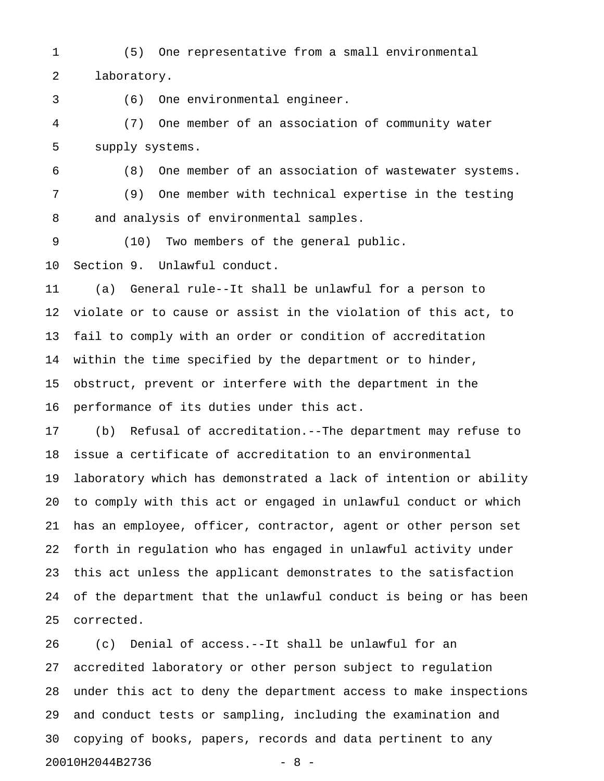1 (5) One representative from a small environmental 2 laboratory.

3 (6) One environmental engineer.

4 (7) One member of an association of community water 5 supply systems.

6 (8) One member of an association of wastewater systems. 7 (9) One member with technical expertise in the testing 8 and analysis of environmental samples.

9 (10) Two members of the general public.

10 Section 9. Unlawful conduct.

11 (a) General rule--It shall be unlawful for a person to 12 violate or to cause or assist in the violation of this act, to 13 fail to comply with an order or condition of accreditation 14 within the time specified by the department or to hinder, 15 obstruct, prevent or interfere with the department in the 16 performance of its duties under this act.

17 (b) Refusal of accreditation.--The department may refuse to 18 issue a certificate of accreditation to an environmental 19 laboratory which has demonstrated a lack of intention or ability 20 to comply with this act or engaged in unlawful conduct or which 21 has an employee, officer, contractor, agent or other person set 22 forth in regulation who has engaged in unlawful activity under 23 this act unless the applicant demonstrates to the satisfaction 24 of the department that the unlawful conduct is being or has been 25 corrected.

26 (c) Denial of access.--It shall be unlawful for an 27 accredited laboratory or other person subject to regulation 28 under this act to deny the department access to make inspections 29 and conduct tests or sampling, including the examination and 30 copying of books, papers, records and data pertinent to any 20010H2044B2736 - 8 -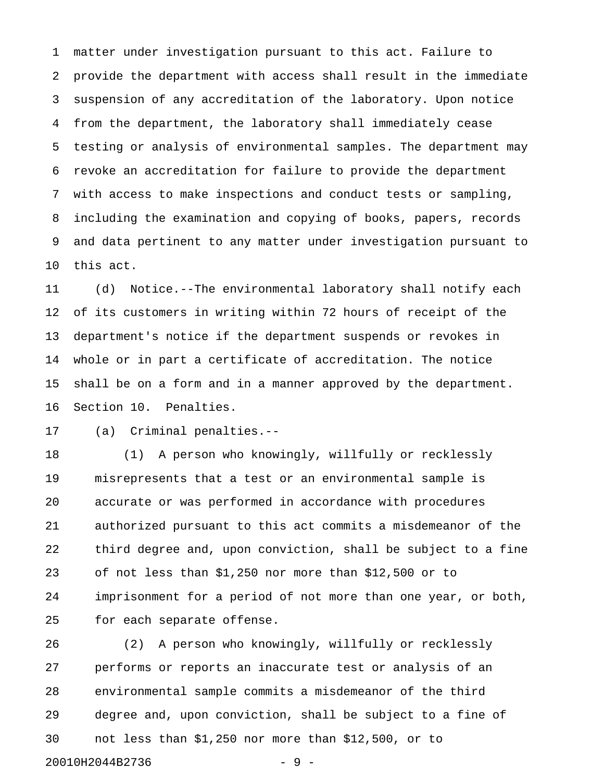1 matter under investigation pursuant to this act. Failure to 2 provide the department with access shall result in the immediate 3 suspension of any accreditation of the laboratory. Upon notice 4 from the department, the laboratory shall immediately cease 5 testing or analysis of environmental samples. The department may 6 revoke an accreditation for failure to provide the department 7 with access to make inspections and conduct tests or sampling, 8 including the examination and copying of books, papers, records 9 and data pertinent to any matter under investigation pursuant to 10 this act.

11 (d) Notice.--The environmental laboratory shall notify each 12 of its customers in writing within 72 hours of receipt of the 13 department's notice if the department suspends or revokes in 14 whole or in part a certificate of accreditation. The notice 15 shall be on a form and in a manner approved by the department. 16 Section 10. Penalties.

17 (a) Criminal penalties.--

18 (1) A person who knowingly, willfully or recklessly 19 misrepresents that a test or an environmental sample is 20 accurate or was performed in accordance with procedures 21 authorized pursuant to this act commits a misdemeanor of the 22 third degree and, upon conviction, shall be subject to a fine 23 of not less than \$1,250 nor more than \$12,500 or to 24 imprisonment for a period of not more than one year, or both, 25 for each separate offense.

26 (2) A person who knowingly, willfully or recklessly 27 performs or reports an inaccurate test or analysis of an 28 environmental sample commits a misdemeanor of the third 29 degree and, upon conviction, shall be subject to a fine of 30 not less than \$1,250 nor more than \$12,500, or to 20010H2044B2736 - 9 -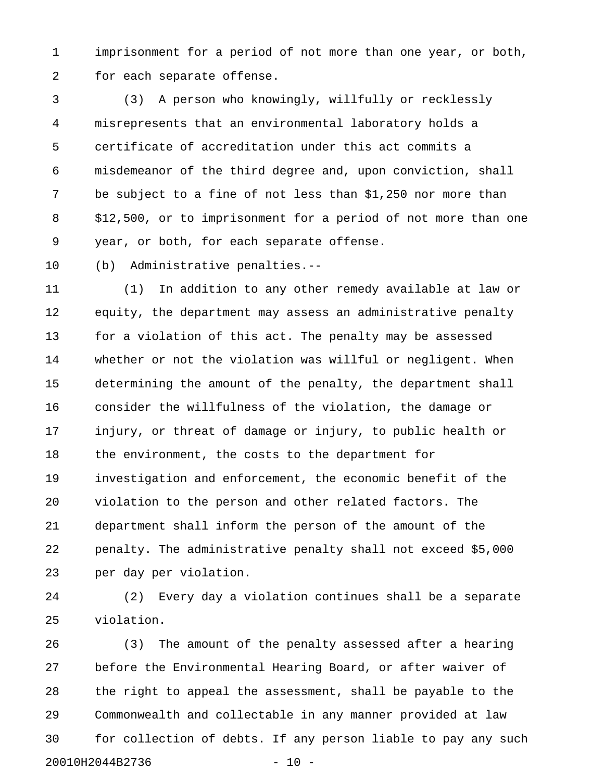1 imprisonment for a period of not more than one year, or both, 2 for each separate offense.

3 (3) A person who knowingly, willfully or recklessly 4 misrepresents that an environmental laboratory holds a 5 certificate of accreditation under this act commits a 6 misdemeanor of the third degree and, upon conviction, shall 7 be subject to a fine of not less than \$1,250 nor more than 8 \$12,500, or to imprisonment for a period of not more than one 9 year, or both, for each separate offense.

10 (b) Administrative penalties.--

11 (1) In addition to any other remedy available at law or 12 equity, the department may assess an administrative penalty 13 for a violation of this act. The penalty may be assessed 14 whether or not the violation was willful or negligent. When 15 determining the amount of the penalty, the department shall 16 consider the willfulness of the violation, the damage or 17 injury, or threat of damage or injury, to public health or 18 the environment, the costs to the department for 19 investigation and enforcement, the economic benefit of the 20 violation to the person and other related factors. The 21 department shall inform the person of the amount of the 22 penalty. The administrative penalty shall not exceed \$5,000 23 per day per violation.

24 (2) Every day a violation continues shall be a separate 25 violation.

26 (3) The amount of the penalty assessed after a hearing 27 before the Environmental Hearing Board, or after waiver of 28 the right to appeal the assessment, shall be payable to the 29 Commonwealth and collectable in any manner provided at law 30 for collection of debts. If any person liable to pay any such 20010H2044B2736 - 10 -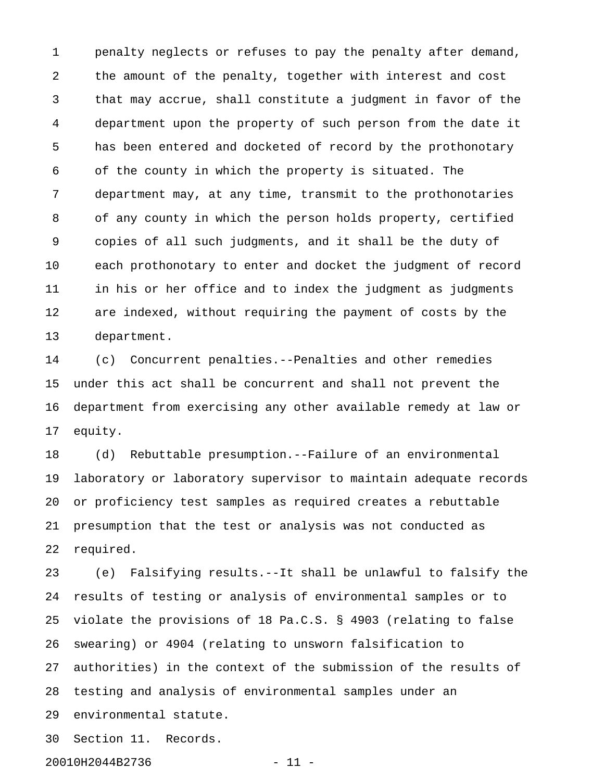1 penalty neglects or refuses to pay the penalty after demand, 2 the amount of the penalty, together with interest and cost 3 that may accrue, shall constitute a judgment in favor of the 4 department upon the property of such person from the date it 5 has been entered and docketed of record by the prothonotary 6 of the county in which the property is situated. The 7 department may, at any time, transmit to the prothonotaries 8 of any county in which the person holds property, certified 9 copies of all such judgments, and it shall be the duty of 10 each prothonotary to enter and docket the judgment of record 11 in his or her office and to index the judgment as judgments 12 are indexed, without requiring the payment of costs by the 13 department.

14 (c) Concurrent penalties.--Penalties and other remedies 15 under this act shall be concurrent and shall not prevent the 16 department from exercising any other available remedy at law or 17 equity.

18 (d) Rebuttable presumption.--Failure of an environmental 19 laboratory or laboratory supervisor to maintain adequate records 20 or proficiency test samples as required creates a rebuttable 21 presumption that the test or analysis was not conducted as 22 required.

23 (e) Falsifying results.--It shall be unlawful to falsify the 24 results of testing or analysis of environmental samples or to 25 violate the provisions of 18 Pa.C.S. § 4903 (relating to false 26 swearing) or 4904 (relating to unsworn falsification to 27 authorities) in the context of the submission of the results of 28 testing and analysis of environmental samples under an 29 environmental statute.

30 Section 11. Records.

20010H2044B2736 - 11 -